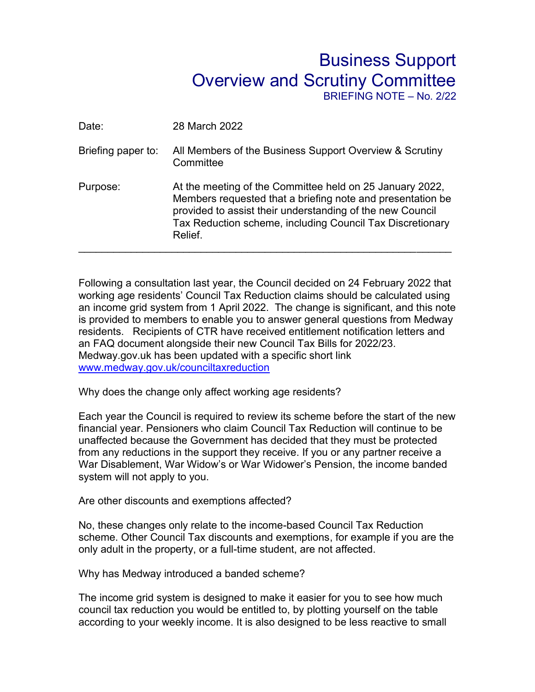## Business Support Overview and Scrutiny Committee BRIEFING NOTE – No. 2/22

| Date:              | 28 March 2022                                                                                                                                                                                                                                               |
|--------------------|-------------------------------------------------------------------------------------------------------------------------------------------------------------------------------------------------------------------------------------------------------------|
| Briefing paper to: | All Members of the Business Support Overview & Scrutiny<br>Committee                                                                                                                                                                                        |
| Purpose:           | At the meeting of the Committee held on 25 January 2022,<br>Members requested that a briefing note and presentation be<br>provided to assist their understanding of the new Council<br>Tax Reduction scheme, including Council Tax Discretionary<br>Relief. |

Following a consultation last year, the Council decided on 24 February 2022 that working age residents' Council Tax Reduction claims should be calculated using an income grid system from 1 April 2022. The change is significant, and this note is provided to members to enable you to answer general questions from Medway residents. Recipients of CTR have received entitlement notification letters and an FAQ document alongside their new Council Tax Bills for 2022/23. Medway.gov.uk has been updated with a specific short link [www.medway.gov.uk/counciltaxreduction](http://www.medway.gov.uk/counciltaxreduction)

Why does the change only affect working age residents?

Each year the Council is required to review its scheme before the start of the new financial year. Pensioners who claim Council Tax Reduction will continue to be unaffected because the Government has decided that they must be protected from any reductions in the support they receive. If you or any partner receive a War Disablement, War Widow's or War Widower's Pension, the income banded system will not apply to you.

Are other discounts and exemptions affected?

No, these changes only relate to the income-based Council Tax Reduction scheme. Other Council Tax discounts and exemptions, for example if you are the only adult in the property, or a full-time student, are not affected.

Why has Medway introduced a banded scheme?

The income grid system is designed to make it easier for you to see how much council tax reduction you would be entitled to, by plotting yourself on the table according to your weekly income. It is also designed to be less reactive to small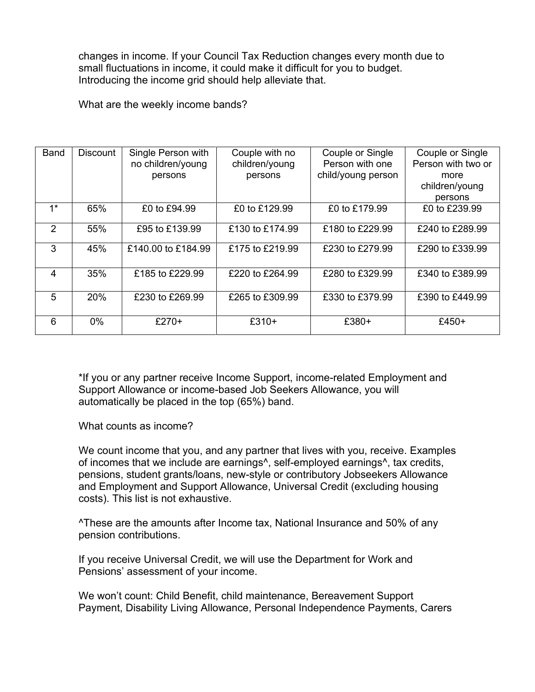changes in income. If your Council Tax Reduction changes every month due to small fluctuations in income, it could make it difficult for you to budget. Introducing the income grid should help alleviate that.

What are the weekly income bands?

| <b>Band</b> | <b>Discount</b> | Single Person with | Couple with no  | Couple or Single   | Couple or Single   |
|-------------|-----------------|--------------------|-----------------|--------------------|--------------------|
|             |                 | no children/young  | children/young  | Person with one    | Person with two or |
|             |                 | persons            | persons         | child/young person | more               |
|             |                 |                    |                 |                    | children/young     |
|             |                 |                    |                 |                    | persons            |
| $1*$        | 65%             | £0 to £94.99       | £0 to £129.99   | £0 to £179.99      | £0 to £239.99      |
| 2           | 55%             | £95 to £139.99     | £130 to £174.99 | £180 to £229.99    | £240 to £289.99    |
| 3           | 45%             | £140.00 to £184.99 | £175 to £219.99 | £230 to £279.99    | £290 to £339.99    |
| 4           | 35%             | £185 to £229.99    | £220 to £264.99 | £280 to £329.99    | £340 to £389.99    |
| 5           | 20%             | £230 to £269.99    | £265 to £309.99 | £330 to £379.99    | £390 to £449.99    |
| 6           | $0\%$           | $£270+$            | $£310+$         | $£380+$            | $£450+$            |

\*If you or any partner receive Income Support, income-related Employment and Support Allowance or income-based Job Seekers Allowance, you will automatically be placed in the top (65%) band.

What counts as income?

We count income that you, and any partner that lives with you, receive. Examples of incomes that we include are earnings^, self-employed earnings^, tax credits, pensions, student grants/loans, new-style or contributory Jobseekers Allowance and Employment and Support Allowance, Universal Credit (excluding housing costs). This list is not exhaustive.

^These are the amounts after Income tax, National Insurance and 50% of any pension contributions.

If you receive Universal Credit, we will use the Department for Work and Pensions' assessment of your income.

We won't count: Child Benefit, child maintenance, Bereavement Support Payment, Disability Living Allowance, Personal Independence Payments, Carers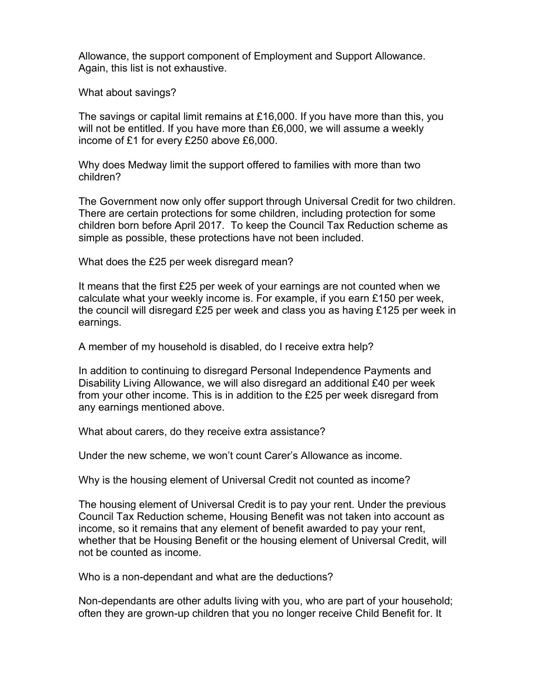Allowance, the support component of Employment and Support Allowance. Again, this list is not exhaustive.

What about savings?

The savings or capital limit remains at £16,000. If you have more than this, you will not be entitled. If you have more than £6,000, we will assume a weekly income of £1 for every £250 above £6,000.

Why does Medway limit the support offered to families with more than two children?

The Government now only offer support through Universal Credit for two children. There are certain protections for some children, including protection for some children born before April 2017. To keep the Council Tax Reduction scheme as simple as possible, these protections have not been included.

What does the £25 per week disregard mean?

It means that the first £25 per week of your earnings are not counted when we calculate what your weekly income is. For example, if you earn £150 per week, the council will disregard £25 per week and class you as having £125 per week in earnings.

A member of my household is disabled, do I receive extra help?

In addition to continuing to disregard Personal Independence Payments and Disability Living Allowance, we will also disregard an additional £40 per week from your other income. This is in addition to the £25 per week disregard from any earnings mentioned above.

What about carers, do they receive extra assistance?

Under the new scheme, we won't count Carer's Allowance as income.

Why is the housing element of Universal Credit not counted as income?

The housing element of Universal Credit is to pay your rent. Under the previous Council Tax Reduction scheme, Housing Benefit was not taken into account as income, so it remains that any element of benefit awarded to pay your rent, whether that be Housing Benefit or the housing element of Universal Credit, will not be counted as income.

Who is a non-dependant and what are the deductions?

Non-dependants are other adults living with you, who are part of your household; often they are grown-up children that you no longer receive Child Benefit for. It